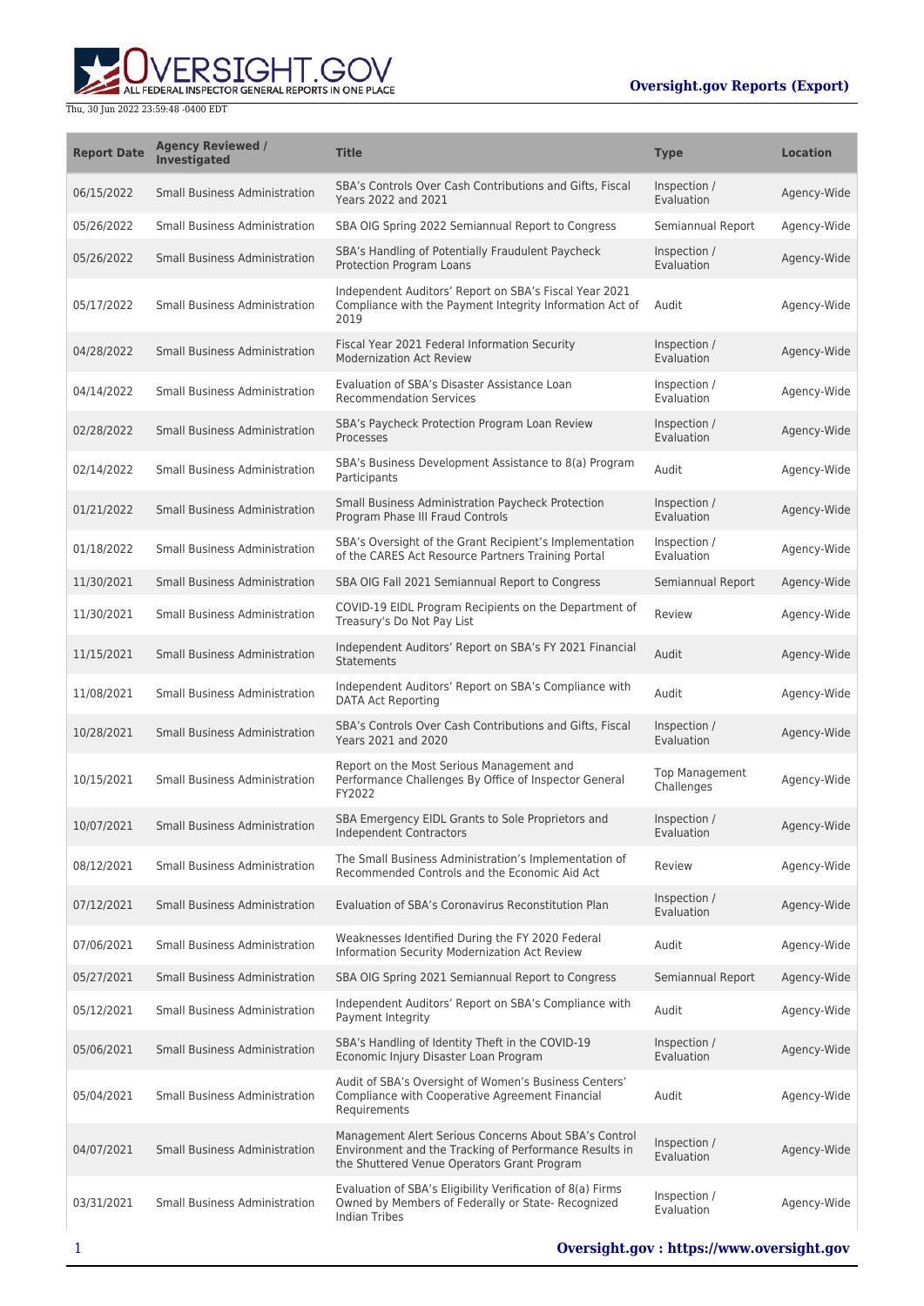**WERSIGHT.GOV** 

| <b>Report Date</b> | <b>Agency Reviewed /</b><br><b>Investigated</b> | <b>Title</b>                                                                                                                                                   | <b>Type</b>                         | <b>Location</b> |
|--------------------|-------------------------------------------------|----------------------------------------------------------------------------------------------------------------------------------------------------------------|-------------------------------------|-----------------|
| 06/15/2022         | <b>Small Business Administration</b>            | SBA's Controls Over Cash Contributions and Gifts, Fiscal<br><b>Years 2022 and 2021</b>                                                                         | Inspection /<br>Evaluation          | Agency-Wide     |
| 05/26/2022         | <b>Small Business Administration</b>            | SBA OIG Spring 2022 Semiannual Report to Congress                                                                                                              | Semiannual Report                   | Agency-Wide     |
| 05/26/2022         | <b>Small Business Administration</b>            | SBA's Handling of Potentially Fraudulent Paycheck<br>Protection Program Loans                                                                                  | Inspection /<br>Evaluation          | Agency-Wide     |
| 05/17/2022         | <b>Small Business Administration</b>            | Independent Auditors' Report on SBA's Fiscal Year 2021<br>Compliance with the Payment Integrity Information Act of<br>2019                                     | Audit                               | Agency-Wide     |
| 04/28/2022         | <b>Small Business Administration</b>            | Fiscal Year 2021 Federal Information Security<br><b>Modernization Act Review</b>                                                                               | Inspection /<br>Evaluation          | Agency-Wide     |
| 04/14/2022         | Small Business Administration                   | Evaluation of SBA's Disaster Assistance Loan<br><b>Recommendation Services</b>                                                                                 | Inspection /<br>Evaluation          | Agency-Wide     |
| 02/28/2022         | <b>Small Business Administration</b>            | SBA's Paycheck Protection Program Loan Review<br>Processes                                                                                                     | Inspection /<br>Evaluation          | Agency-Wide     |
| 02/14/2022         | <b>Small Business Administration</b>            | SBA's Business Development Assistance to 8(a) Program<br>Participants                                                                                          | Audit                               | Agency-Wide     |
| 01/21/2022         | <b>Small Business Administration</b>            | Small Business Administration Paycheck Protection<br>Program Phase III Fraud Controls                                                                          | Inspection /<br>Evaluation          | Agency-Wide     |
| 01/18/2022         | <b>Small Business Administration</b>            | SBA's Oversight of the Grant Recipient's Implementation<br>of the CARES Act Resource Partners Training Portal                                                  | Inspection /<br>Evaluation          | Agency-Wide     |
| 11/30/2021         | <b>Small Business Administration</b>            | SBA OIG Fall 2021 Semiannual Report to Congress                                                                                                                | Semiannual Report                   | Agency-Wide     |
| 11/30/2021         | Small Business Administration                   | COVID-19 EIDL Program Recipients on the Department of<br>Treasury's Do Not Pay List                                                                            | Review                              | Agency-Wide     |
| 11/15/2021         | <b>Small Business Administration</b>            | Independent Auditors' Report on SBA's FY 2021 Financial<br><b>Statements</b>                                                                                   | Audit                               | Agency-Wide     |
| 11/08/2021         | <b>Small Business Administration</b>            | Independent Auditors' Report on SBA's Compliance with<br><b>DATA Act Reporting</b>                                                                             | Audit                               | Agency-Wide     |
| 10/28/2021         | <b>Small Business Administration</b>            | SBA's Controls Over Cash Contributions and Gifts, Fiscal<br>Years 2021 and 2020                                                                                | Inspection /<br>Evaluation          | Agency-Wide     |
| 10/15/2021         | <b>Small Business Administration</b>            | Report on the Most Serious Management and<br>Performance Challenges By Office of Inspector General<br>FY2022                                                   | <b>Top Management</b><br>Challenges | Agency-Wide     |
| 10/07/2021         | <b>Small Business Administration</b>            | SBA Emergency EIDL Grants to Sole Proprietors and<br>Independent Contractors                                                                                   | Inspection /<br>Evaluation          | Agency-Wide     |
| 08/12/2021         | <b>Small Business Administration</b>            | The Small Business Administration's Implementation of<br>Recommended Controls and the Economic Aid Act                                                         | Review                              | Agency-Wide     |
| 07/12/2021         | <b>Small Business Administration</b>            | Evaluation of SBA's Coronavirus Reconstitution Plan                                                                                                            | Inspection /<br>Evaluation          | Agency-Wide     |
| 07/06/2021         | Small Business Administration                   | Weaknesses Identified During the FY 2020 Federal<br><b>Information Security Modernization Act Review</b>                                                       | Audit                               | Agency-Wide     |
| 05/27/2021         | <b>Small Business Administration</b>            | SBA OIG Spring 2021 Semiannual Report to Congress                                                                                                              | Semiannual Report                   | Agency-Wide     |
| 05/12/2021         | <b>Small Business Administration</b>            | Independent Auditors' Report on SBA's Compliance with<br>Payment Integrity                                                                                     | Audit                               | Agency-Wide     |
| 05/06/2021         | <b>Small Business Administration</b>            | SBA's Handling of Identity Theft in the COVID-19<br>Economic Injury Disaster Loan Program                                                                      | Inspection /<br>Evaluation          | Agency-Wide     |
| 05/04/2021         | <b>Small Business Administration</b>            | Audit of SBA's Oversight of Women's Business Centers'<br>Compliance with Cooperative Agreement Financial<br>Requirements                                       | Audit                               | Agency-Wide     |
| 04/07/2021         | <b>Small Business Administration</b>            | Management Alert Serious Concerns About SBA's Control<br>Environment and the Tracking of Performance Results in<br>the Shuttered Venue Operators Grant Program | Inspection /<br>Evaluation          | Agency-Wide     |
| 03/31/2021         | <b>Small Business Administration</b>            | Evaluation of SBA's Eligibility Verification of 8(a) Firms<br>Owned by Members of Federally or State- Recognized<br><b>Indian Tribes</b>                       | Inspection /<br>Evaluation          | Agency-Wide     |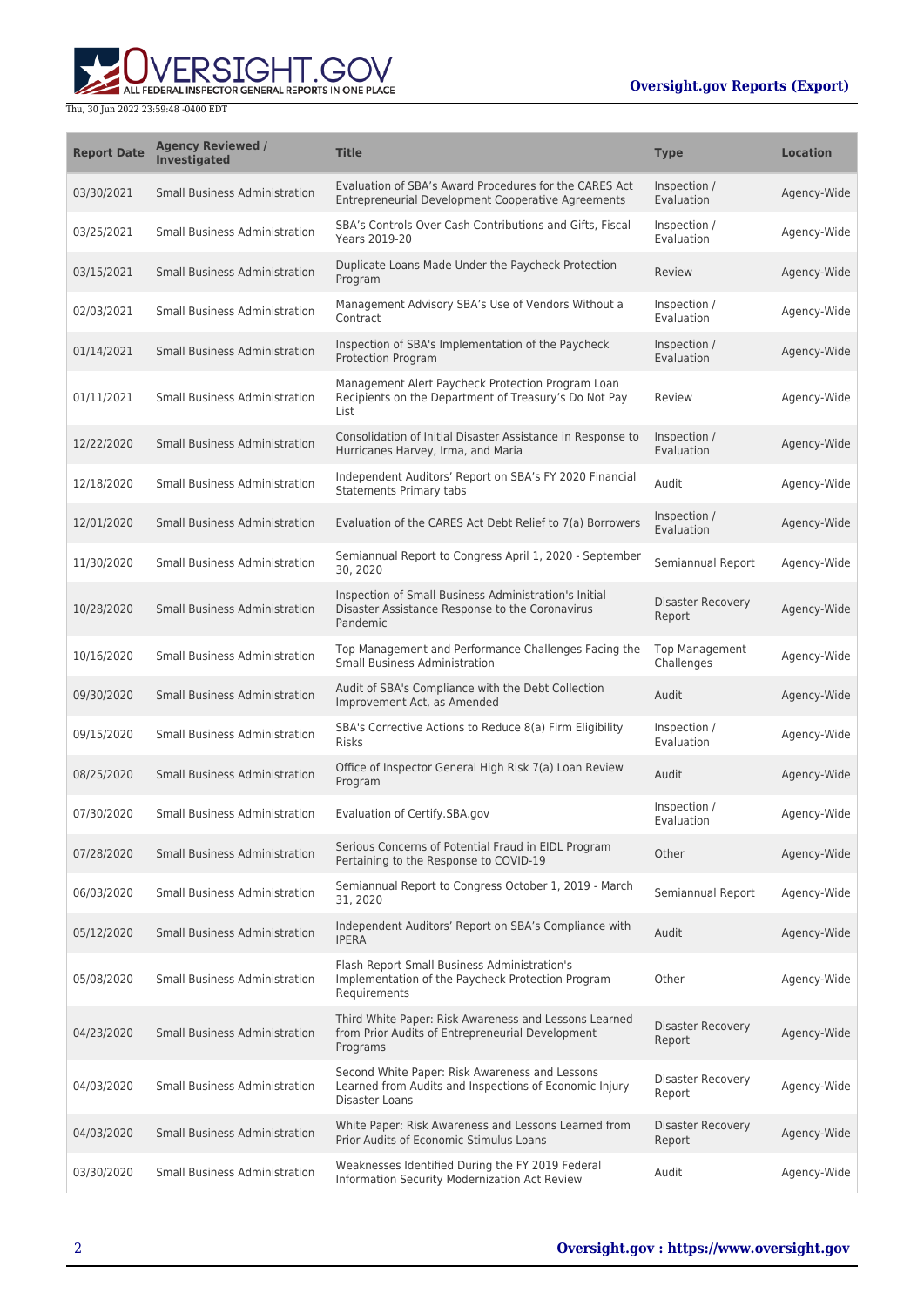

| <b>Report Date</b> | <b>Agency Reviewed /</b><br>Investigated | <b>Title</b>                                                                                                               | <b>Type</b>                         | <b>Location</b> |
|--------------------|------------------------------------------|----------------------------------------------------------------------------------------------------------------------------|-------------------------------------|-----------------|
| 03/30/2021         | <b>Small Business Administration</b>     | Evaluation of SBA's Award Procedures for the CARES Act<br>Entrepreneurial Development Cooperative Agreements               | Inspection /<br>Evaluation          | Agency-Wide     |
| 03/25/2021         | <b>Small Business Administration</b>     | SBA's Controls Over Cash Contributions and Gifts, Fiscal<br>Years 2019-20                                                  | Inspection /<br>Evaluation          | Agency-Wide     |
| 03/15/2021         | <b>Small Business Administration</b>     | Duplicate Loans Made Under the Paycheck Protection<br>Program                                                              | Review                              | Agency-Wide     |
| 02/03/2021         | Small Business Administration            | Management Advisory SBA's Use of Vendors Without a<br>Contract                                                             | Inspection /<br>Evaluation          | Agency-Wide     |
| 01/14/2021         | <b>Small Business Administration</b>     | Inspection of SBA's Implementation of the Paycheck<br><b>Protection Program</b>                                            | Inspection /<br>Evaluation          | Agency-Wide     |
| 01/11/2021         | <b>Small Business Administration</b>     | Management Alert Paycheck Protection Program Loan<br>Recipients on the Department of Treasury's Do Not Pay<br>List         | Review                              | Agency-Wide     |
| 12/22/2020         | <b>Small Business Administration</b>     | Consolidation of Initial Disaster Assistance in Response to<br>Hurricanes Harvey, Irma, and Maria                          | Inspection /<br>Evaluation          | Agency-Wide     |
| 12/18/2020         | <b>Small Business Administration</b>     | Independent Auditors' Report on SBA's FY 2020 Financial<br><b>Statements Primary tabs</b>                                  | Audit                               | Agency-Wide     |
| 12/01/2020         | <b>Small Business Administration</b>     | Evaluation of the CARES Act Debt Relief to 7(a) Borrowers                                                                  | Inspection /<br>Evaluation          | Agency-Wide     |
| 11/30/2020         | <b>Small Business Administration</b>     | Semiannual Report to Congress April 1, 2020 - September<br>30, 2020                                                        | Semiannual Report                   | Agency-Wide     |
| 10/28/2020         | <b>Small Business Administration</b>     | Inspection of Small Business Administration's Initial<br>Disaster Assistance Response to the Coronavirus<br>Pandemic       | Disaster Recovery<br>Report         | Agency-Wide     |
| 10/16/2020         | <b>Small Business Administration</b>     | Top Management and Performance Challenges Facing the<br><b>Small Business Administration</b>                               | <b>Top Management</b><br>Challenges | Agency-Wide     |
| 09/30/2020         | <b>Small Business Administration</b>     | Audit of SBA's Compliance with the Debt Collection<br>Improvement Act, as Amended                                          | Audit                               | Agency-Wide     |
| 09/15/2020         | Small Business Administration            | SBA's Corrective Actions to Reduce 8(a) Firm Eligibility<br><b>Risks</b>                                                   | Inspection /<br>Evaluation          | Agency-Wide     |
| 08/25/2020         | <b>Small Business Administration</b>     | Office of Inspector General High Risk 7(a) Loan Review<br>Program                                                          | Audit                               | Agency-Wide     |
| 07/30/2020         | <b>Small Business Administration</b>     | Evaluation of Certify.SBA.gov                                                                                              | Inspection /<br>Evaluation          | Agency-Wide     |
| 07/28/2020         | <b>Small Business Administration</b>     | Serious Concerns of Potential Fraud in EIDL Program<br>Pertaining to the Response to COVID-19                              | Other                               | Agency-Wide     |
| 06/03/2020         | <b>Small Business Administration</b>     | Semiannual Report to Congress October 1, 2019 - March<br>31, 2020                                                          | Semiannual Report                   | Agency-Wide     |
| 05/12/2020         | <b>Small Business Administration</b>     | Independent Auditors' Report on SBA's Compliance with<br><b>IPERA</b>                                                      | Audit                               | Agency-Wide     |
| 05/08/2020         | <b>Small Business Administration</b>     | Flash Report Small Business Administration's<br>Implementation of the Paycheck Protection Program<br>Requirements          | Other                               | Agency-Wide     |
| 04/23/2020         | <b>Small Business Administration</b>     | Third White Paper: Risk Awareness and Lessons Learned<br>from Prior Audits of Entrepreneurial Development<br>Programs      | Disaster Recovery<br>Report         | Agency-Wide     |
| 04/03/2020         | <b>Small Business Administration</b>     | Second White Paper: Risk Awareness and Lessons<br>Learned from Audits and Inspections of Economic Injury<br>Disaster Loans | Disaster Recovery<br>Report         | Agency-Wide     |
| 04/03/2020         | <b>Small Business Administration</b>     | White Paper: Risk Awareness and Lessons Learned from<br>Prior Audits of Economic Stimulus Loans                            | Disaster Recovery<br>Report         | Agency-Wide     |
| 03/30/2020         | <b>Small Business Administration</b>     | Weaknesses Identified During the FY 2019 Federal<br>Information Security Modernization Act Review                          | Audit                               | Agency-Wide     |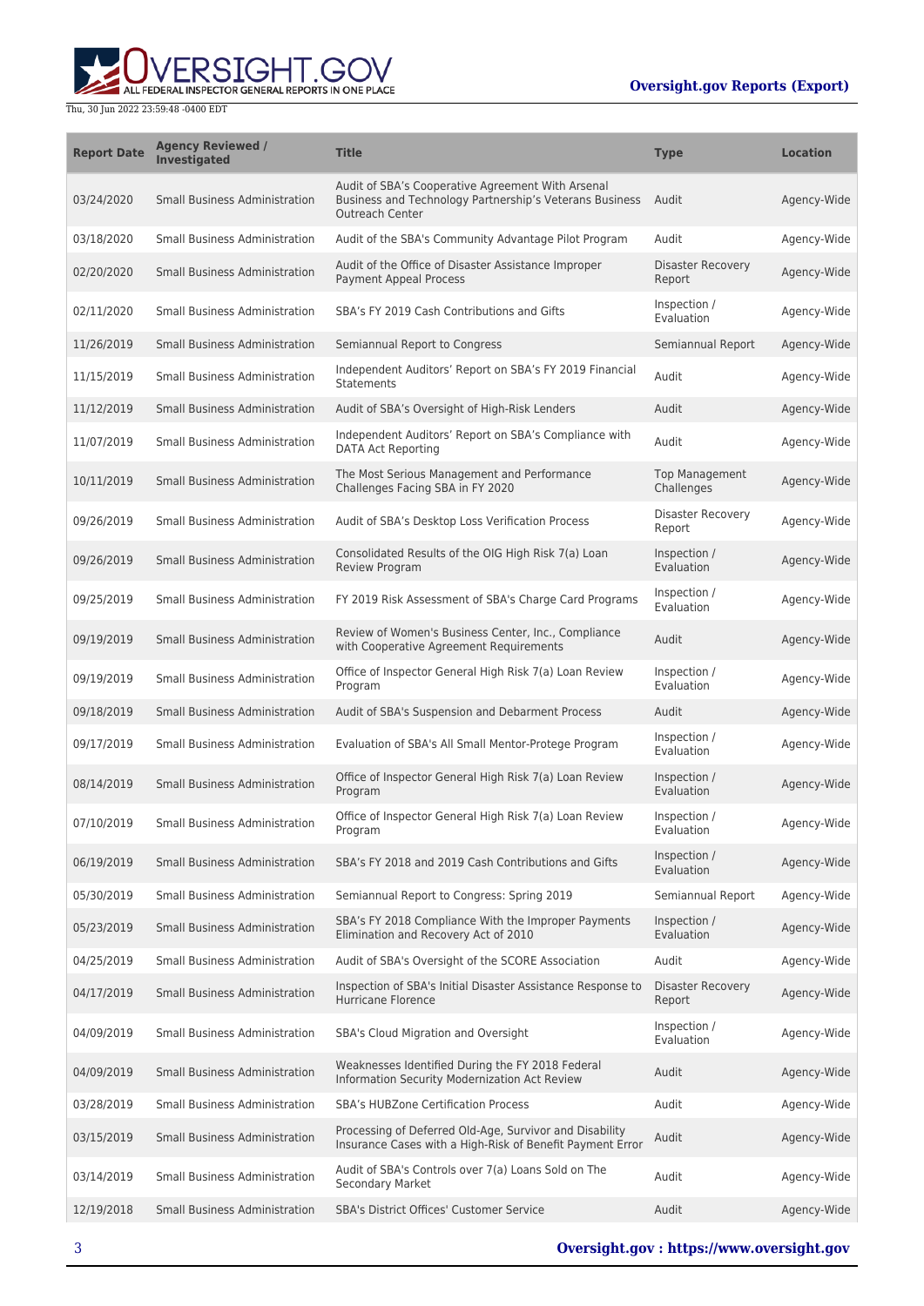

| <b>Report Date</b> | <b>Agency Reviewed /</b><br><b>Investigated</b> | <b>Title</b>                                                                                                                    | <b>Type</b>                         | <b>Location</b> |
|--------------------|-------------------------------------------------|---------------------------------------------------------------------------------------------------------------------------------|-------------------------------------|-----------------|
| 03/24/2020         | <b>Small Business Administration</b>            | Audit of SBA's Cooperative Agreement With Arsenal<br>Business and Technology Partnership's Veterans Business<br>Outreach Center | Audit                               | Agency-Wide     |
| 03/18/2020         | <b>Small Business Administration</b>            | Audit of the SBA's Community Advantage Pilot Program                                                                            | Audit                               | Agency-Wide     |
| 02/20/2020         | <b>Small Business Administration</b>            | Audit of the Office of Disaster Assistance Improper<br><b>Payment Appeal Process</b>                                            | Disaster Recovery<br>Report         | Agency-Wide     |
| 02/11/2020         | <b>Small Business Administration</b>            | SBA's FY 2019 Cash Contributions and Gifts                                                                                      | Inspection /<br>Evaluation          | Agency-Wide     |
| 11/26/2019         | <b>Small Business Administration</b>            | Semiannual Report to Congress                                                                                                   | Semiannual Report                   | Agency-Wide     |
| 11/15/2019         | <b>Small Business Administration</b>            | Independent Auditors' Report on SBA's FY 2019 Financial<br>Statements                                                           | Audit                               | Agency-Wide     |
| 11/12/2019         | <b>Small Business Administration</b>            | Audit of SBA's Oversight of High-Risk Lenders                                                                                   | Audit                               | Agency-Wide     |
| 11/07/2019         | <b>Small Business Administration</b>            | Independent Auditors' Report on SBA's Compliance with<br><b>DATA Act Reporting</b>                                              | Audit                               | Agency-Wide     |
| 10/11/2019         | <b>Small Business Administration</b>            | The Most Serious Management and Performance<br>Challenges Facing SBA in FY 2020                                                 | <b>Top Management</b><br>Challenges | Agency-Wide     |
| 09/26/2019         | <b>Small Business Administration</b>            | Audit of SBA's Desktop Loss Verification Process                                                                                | Disaster Recovery<br>Report         | Agency-Wide     |
| 09/26/2019         | <b>Small Business Administration</b>            | Consolidated Results of the OIG High Risk 7(a) Loan<br>Review Program                                                           | Inspection /<br>Evaluation          | Agency-Wide     |
| 09/25/2019         | <b>Small Business Administration</b>            | FY 2019 Risk Assessment of SBA's Charge Card Programs                                                                           | Inspection /<br>Evaluation          | Agency-Wide     |
| 09/19/2019         | <b>Small Business Administration</b>            | Review of Women's Business Center, Inc., Compliance<br>with Cooperative Agreement Requirements                                  | Audit                               | Agency-Wide     |
| 09/19/2019         | <b>Small Business Administration</b>            | Office of Inspector General High Risk 7(a) Loan Review<br>Program                                                               | Inspection /<br>Evaluation          | Agency-Wide     |
| 09/18/2019         | <b>Small Business Administration</b>            | Audit of SBA's Suspension and Debarment Process                                                                                 | Audit                               | Agency-Wide     |
| 09/17/2019         | <b>Small Business Administration</b>            | Evaluation of SBA's All Small Mentor-Protege Program                                                                            | Inspection /<br>Evaluation          | Agency-Wide     |
| 08/14/2019         | <b>Small Business Administration</b>            | Office of Inspector General High Risk 7(a) Loan Review<br>Program                                                               | Inspection /<br>Evaluation          | Agency-Wide     |
| 07/10/2019         | <b>Small Business Administration</b>            | Office of Inspector General High Risk 7(a) Loan Review<br>Program                                                               | Inspection /<br>Evaluation          | Agency-Wide     |
| 06/19/2019         | <b>Small Business Administration</b>            | SBA's FY 2018 and 2019 Cash Contributions and Gifts                                                                             | Inspection /<br>Evaluation          | Agency-Wide     |
| 05/30/2019         | <b>Small Business Administration</b>            | Semiannual Report to Congress: Spring 2019                                                                                      | Semiannual Report                   | Agency-Wide     |
| 05/23/2019         | <b>Small Business Administration</b>            | SBA's FY 2018 Compliance With the Improper Payments<br>Elimination and Recovery Act of 2010                                     | Inspection /<br>Evaluation          | Agency-Wide     |
| 04/25/2019         | <b>Small Business Administration</b>            | Audit of SBA's Oversight of the SCORE Association                                                                               | Audit                               | Agency-Wide     |
| 04/17/2019         | <b>Small Business Administration</b>            | Inspection of SBA's Initial Disaster Assistance Response to<br>Hurricane Florence                                               | <b>Disaster Recovery</b><br>Report  | Agency-Wide     |
| 04/09/2019         | <b>Small Business Administration</b>            | SBA's Cloud Migration and Oversight                                                                                             | Inspection /<br>Evaluation          | Agency-Wide     |
| 04/09/2019         | <b>Small Business Administration</b>            | Weaknesses Identified During the FY 2018 Federal<br>Information Security Modernization Act Review                               | Audit                               | Agency-Wide     |
| 03/28/2019         | <b>Small Business Administration</b>            | <b>SBA's HUBZone Certification Process</b>                                                                                      | Audit                               | Agency-Wide     |
| 03/15/2019         | <b>Small Business Administration</b>            | Processing of Deferred Old-Age, Survivor and Disability<br>Insurance Cases with a High-Risk of Benefit Payment Error            | Audit                               | Agency-Wide     |
| 03/14/2019         | Small Business Administration                   | Audit of SBA's Controls over 7(a) Loans Sold on The<br><b>Secondary Market</b>                                                  | Audit                               | Agency-Wide     |
| 12/19/2018         | <b>Small Business Administration</b>            | SBA's District Offices' Customer Service                                                                                        | Audit                               | Agency-Wide     |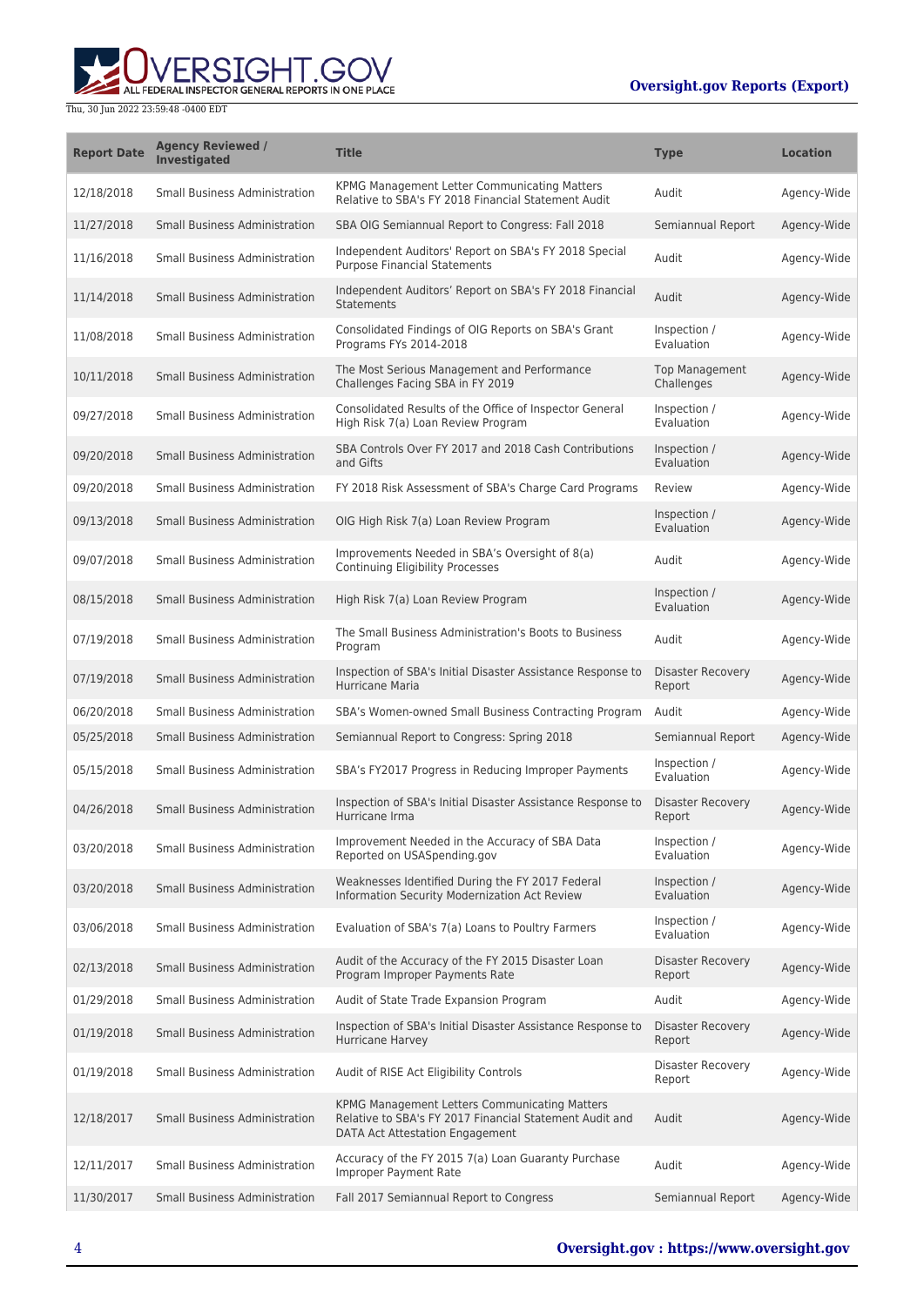

| <b>Report Date</b> | <b>Agency Reviewed /</b><br>Investigated | <b>Title</b>                                                                                                                                | <b>Type</b>                         | <b>Location</b> |
|--------------------|------------------------------------------|---------------------------------------------------------------------------------------------------------------------------------------------|-------------------------------------|-----------------|
| 12/18/2018         | <b>Small Business Administration</b>     | KPMG Management Letter Communicating Matters<br>Relative to SBA's FY 2018 Financial Statement Audit                                         | Audit                               | Agency-Wide     |
| 11/27/2018         | <b>Small Business Administration</b>     | SBA OIG Semiannual Report to Congress: Fall 2018                                                                                            | Semiannual Report                   | Agency-Wide     |
| 11/16/2018         | <b>Small Business Administration</b>     | Independent Auditors' Report on SBA's FY 2018 Special<br><b>Purpose Financial Statements</b>                                                | Audit                               | Agency-Wide     |
| 11/14/2018         | <b>Small Business Administration</b>     | Independent Auditors' Report on SBA's FY 2018 Financial<br><b>Statements</b>                                                                | Audit                               | Agency-Wide     |
| 11/08/2018         | <b>Small Business Administration</b>     | Consolidated Findings of OIG Reports on SBA's Grant<br>Programs FYs 2014-2018                                                               | Inspection /<br>Evaluation          | Agency-Wide     |
| 10/11/2018         | <b>Small Business Administration</b>     | The Most Serious Management and Performance<br>Challenges Facing SBA in FY 2019                                                             | <b>Top Management</b><br>Challenges | Agency-Wide     |
| 09/27/2018         | <b>Small Business Administration</b>     | Consolidated Results of the Office of Inspector General<br>High Risk 7(a) Loan Review Program                                               | Inspection /<br>Evaluation          | Agency-Wide     |
| 09/20/2018         | <b>Small Business Administration</b>     | SBA Controls Over FY 2017 and 2018 Cash Contributions<br>and Gifts                                                                          | Inspection /<br>Evaluation          | Agency-Wide     |
| 09/20/2018         | <b>Small Business Administration</b>     | FY 2018 Risk Assessment of SBA's Charge Card Programs                                                                                       | Review                              | Agency-Wide     |
| 09/13/2018         | <b>Small Business Administration</b>     | OIG High Risk 7(a) Loan Review Program                                                                                                      | Inspection /<br>Evaluation          | Agency-Wide     |
| 09/07/2018         | <b>Small Business Administration</b>     | Improvements Needed in SBA's Oversight of 8(a)<br>Continuing Eligibility Processes                                                          | Audit                               | Agency-Wide     |
| 08/15/2018         | <b>Small Business Administration</b>     | High Risk 7(a) Loan Review Program                                                                                                          | Inspection /<br>Evaluation          | Agency-Wide     |
| 07/19/2018         | <b>Small Business Administration</b>     | The Small Business Administration's Boots to Business<br>Program                                                                            | Audit                               | Agency-Wide     |
| 07/19/2018         | <b>Small Business Administration</b>     | Inspection of SBA's Initial Disaster Assistance Response to<br>Hurricane Maria                                                              | Disaster Recovery<br>Report         | Agency-Wide     |
| 06/20/2018         | <b>Small Business Administration</b>     | SBA's Women-owned Small Business Contracting Program                                                                                        | Audit                               | Agency-Wide     |
| 05/25/2018         | <b>Small Business Administration</b>     | Semiannual Report to Congress: Spring 2018                                                                                                  | Semiannual Report                   | Agency-Wide     |
| 05/15/2018         | <b>Small Business Administration</b>     | SBA's FY2017 Progress in Reducing Improper Payments                                                                                         | Inspection /<br>Evaluation          | Agency-Wide     |
| 04/26/2018         | <b>Small Business Administration</b>     | Inspection of SBA's Initial Disaster Assistance Response to<br>Hurricane Irma                                                               | <b>Disaster Recovery</b><br>Report  | Agency-Wide     |
| 03/20/2018         | <b>Small Business Administration</b>     | Improvement Needed in the Accuracy of SBA Data<br>Reported on USASpending.gov                                                               | Inspection /<br>Evaluation          | Agency-Wide     |
| 03/20/2018         | <b>Small Business Administration</b>     | Weaknesses Identified During the FY 2017 Federal<br>Information Security Modernization Act Review                                           | Inspection /<br>Evaluation          | Agency-Wide     |
| 03/06/2018         | <b>Small Business Administration</b>     | Evaluation of SBA's 7(a) Loans to Poultry Farmers                                                                                           | Inspection /<br>Evaluation          | Agency-Wide     |
| 02/13/2018         | <b>Small Business Administration</b>     | Audit of the Accuracy of the FY 2015 Disaster Loan<br>Program Improper Payments Rate                                                        | Disaster Recovery<br>Report         | Agency-Wide     |
| 01/29/2018         | <b>Small Business Administration</b>     | Audit of State Trade Expansion Program                                                                                                      | Audit                               | Agency-Wide     |
| 01/19/2018         | <b>Small Business Administration</b>     | Inspection of SBA's Initial Disaster Assistance Response to<br>Hurricane Harvey                                                             | <b>Disaster Recovery</b><br>Report  | Agency-Wide     |
| 01/19/2018         | <b>Small Business Administration</b>     | Audit of RISE Act Eligibility Controls                                                                                                      | <b>Disaster Recovery</b><br>Report  | Agency-Wide     |
| 12/18/2017         | <b>Small Business Administration</b>     | KPMG Management Letters Communicating Matters<br>Relative to SBA's FY 2017 Financial Statement Audit and<br>DATA Act Attestation Engagement | Audit                               | Agency-Wide     |
| 12/11/2017         | <b>Small Business Administration</b>     | Accuracy of the FY 2015 7(a) Loan Guaranty Purchase<br>Improper Payment Rate                                                                | Audit                               | Agency-Wide     |
| 11/30/2017         | <b>Small Business Administration</b>     | Fall 2017 Semiannual Report to Congress                                                                                                     | Semiannual Report                   | Agency-Wide     |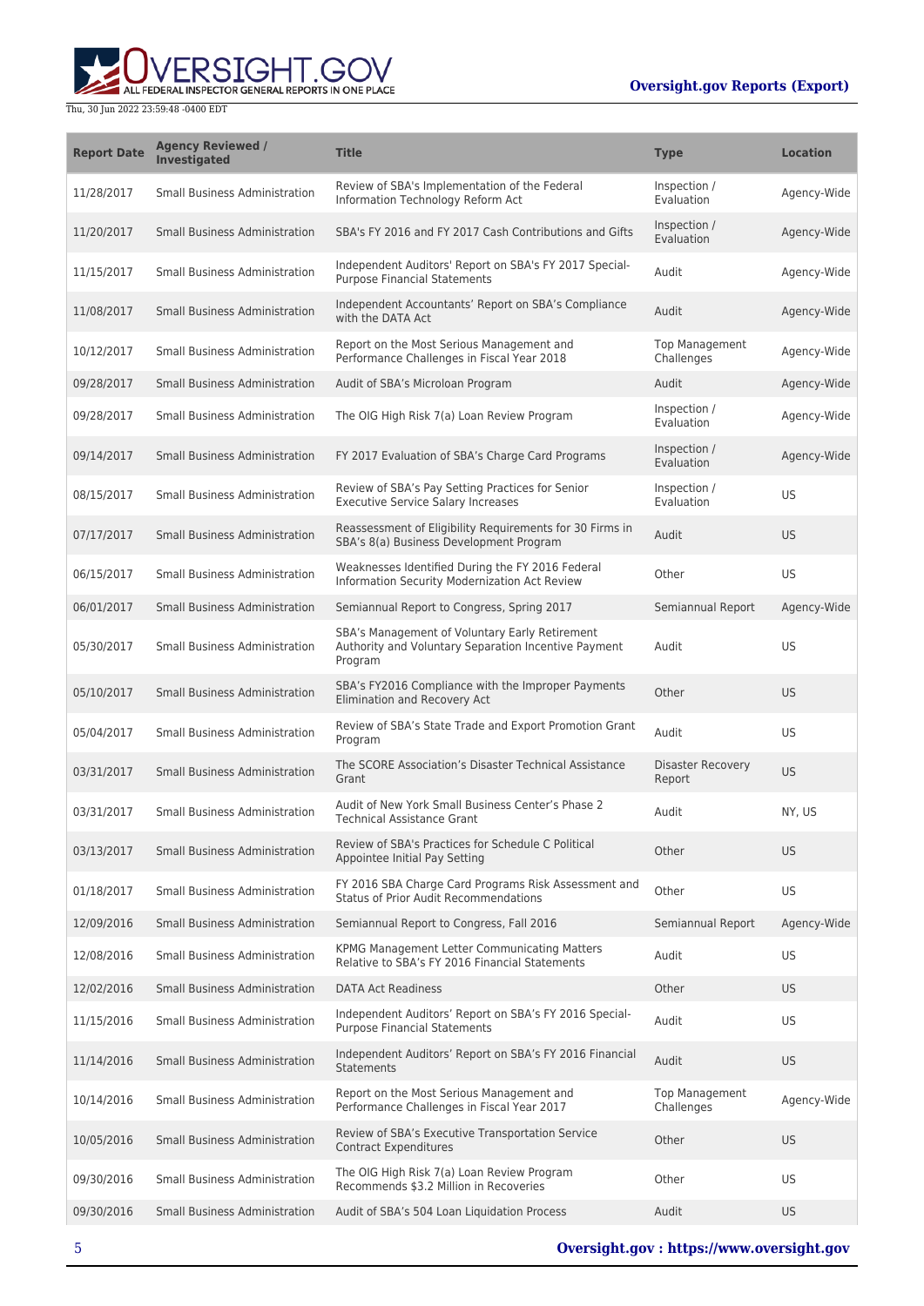

| <b>Report Date</b> | <b>Agency Reviewed /</b><br>Investigated | <b>Title</b>                                                                                                      | <b>Type</b>                         | <b>Location</b> |
|--------------------|------------------------------------------|-------------------------------------------------------------------------------------------------------------------|-------------------------------------|-----------------|
| 11/28/2017         | <b>Small Business Administration</b>     | Review of SBA's Implementation of the Federal<br>Information Technology Reform Act                                | Inspection /<br>Evaluation          | Agency-Wide     |
| 11/20/2017         | <b>Small Business Administration</b>     | SBA's FY 2016 and FY 2017 Cash Contributions and Gifts                                                            | Inspection /<br>Evaluation          | Agency-Wide     |
| 11/15/2017         | <b>Small Business Administration</b>     | Independent Auditors' Report on SBA's FY 2017 Special-<br><b>Purpose Financial Statements</b>                     | Audit                               | Agency-Wide     |
| 11/08/2017         | <b>Small Business Administration</b>     | Independent Accountants' Report on SBA's Compliance<br>with the DATA Act                                          | Audit                               | Agency-Wide     |
| 10/12/2017         | <b>Small Business Administration</b>     | Report on the Most Serious Management and<br>Performance Challenges in Fiscal Year 2018                           | <b>Top Management</b><br>Challenges | Agency-Wide     |
| 09/28/2017         | <b>Small Business Administration</b>     | Audit of SBA's Microloan Program                                                                                  | Audit                               | Agency-Wide     |
| 09/28/2017         | <b>Small Business Administration</b>     | The OIG High Risk 7(a) Loan Review Program                                                                        | Inspection /<br>Evaluation          | Agency-Wide     |
| 09/14/2017         | <b>Small Business Administration</b>     | FY 2017 Evaluation of SBA's Charge Card Programs                                                                  | Inspection /<br>Evaluation          | Agency-Wide     |
| 08/15/2017         | <b>Small Business Administration</b>     | Review of SBA's Pay Setting Practices for Senior<br><b>Executive Service Salary Increases</b>                     | Inspection /<br>Evaluation          | <b>US</b>       |
| 07/17/2017         | <b>Small Business Administration</b>     | Reassessment of Eligibility Requirements for 30 Firms in<br>SBA's 8(a) Business Development Program               | Audit                               | US.             |
| 06/15/2017         | <b>Small Business Administration</b>     | Weaknesses Identified During the FY 2016 Federal<br>Information Security Modernization Act Review                 | Other                               | US              |
| 06/01/2017         | <b>Small Business Administration</b>     | Semiannual Report to Congress, Spring 2017                                                                        | Semiannual Report                   | Agency-Wide     |
| 05/30/2017         | <b>Small Business Administration</b>     | SBA's Management of Voluntary Early Retirement<br>Authority and Voluntary Separation Incentive Payment<br>Program | Audit                               | US              |
| 05/10/2017         | <b>Small Business Administration</b>     | SBA's FY2016 Compliance with the Improper Payments<br>Elimination and Recovery Act                                | Other                               | US.             |
| 05/04/2017         | <b>Small Business Administration</b>     | Review of SBA's State Trade and Export Promotion Grant<br>Program                                                 | Audit                               | US              |
| 03/31/2017         | <b>Small Business Administration</b>     | The SCORE Association's Disaster Technical Assistance<br>Grant                                                    | Disaster Recovery<br>Report         | US.             |
| 03/31/2017         | <b>Small Business Administration</b>     | Audit of New York Small Business Center's Phase 2<br><b>Technical Assistance Grant</b>                            | Audit                               | NY, US          |
| 03/13/2017         | <b>Small Business Administration</b>     | Review of SBA's Practices for Schedule C Political<br>Appointee Initial Pay Setting                               | Other                               | <b>US</b>       |
| 01/18/2017         | <b>Small Business Administration</b>     | FY 2016 SBA Charge Card Programs Risk Assessment and<br>Status of Prior Audit Recommendations                     | Other                               | US              |
| 12/09/2016         | <b>Small Business Administration</b>     | Semiannual Report to Congress, Fall 2016                                                                          | Semiannual Report                   | Agency-Wide     |
| 12/08/2016         | <b>Small Business Administration</b>     | KPMG Management Letter Communicating Matters<br>Relative to SBA's FY 2016 Financial Statements                    | Audit                               | US              |
| 12/02/2016         | <b>Small Business Administration</b>     | <b>DATA Act Readiness</b>                                                                                         | Other                               | US.             |
| 11/15/2016         | <b>Small Business Administration</b>     | Independent Auditors' Report on SBA's FY 2016 Special-<br><b>Purpose Financial Statements</b>                     | Audit                               | US              |
| 11/14/2016         | <b>Small Business Administration</b>     | Independent Auditors' Report on SBA's FY 2016 Financial<br>Statements                                             | Audit                               | <b>US</b>       |
| 10/14/2016         | <b>Small Business Administration</b>     | Report on the Most Serious Management and<br>Performance Challenges in Fiscal Year 2017                           | <b>Top Management</b><br>Challenges | Agency-Wide     |
| 10/05/2016         | <b>Small Business Administration</b>     | Review of SBA's Executive Transportation Service<br><b>Contract Expenditures</b>                                  | Other                               | US.             |
| 09/30/2016         | <b>Small Business Administration</b>     | The OIG High Risk 7(a) Loan Review Program<br>Recommends \$3.2 Million in Recoveries                              | Other                               | US              |
| 09/30/2016         | <b>Small Business Administration</b>     | Audit of SBA's 504 Loan Liquidation Process                                                                       | Audit                               | <b>US</b>       |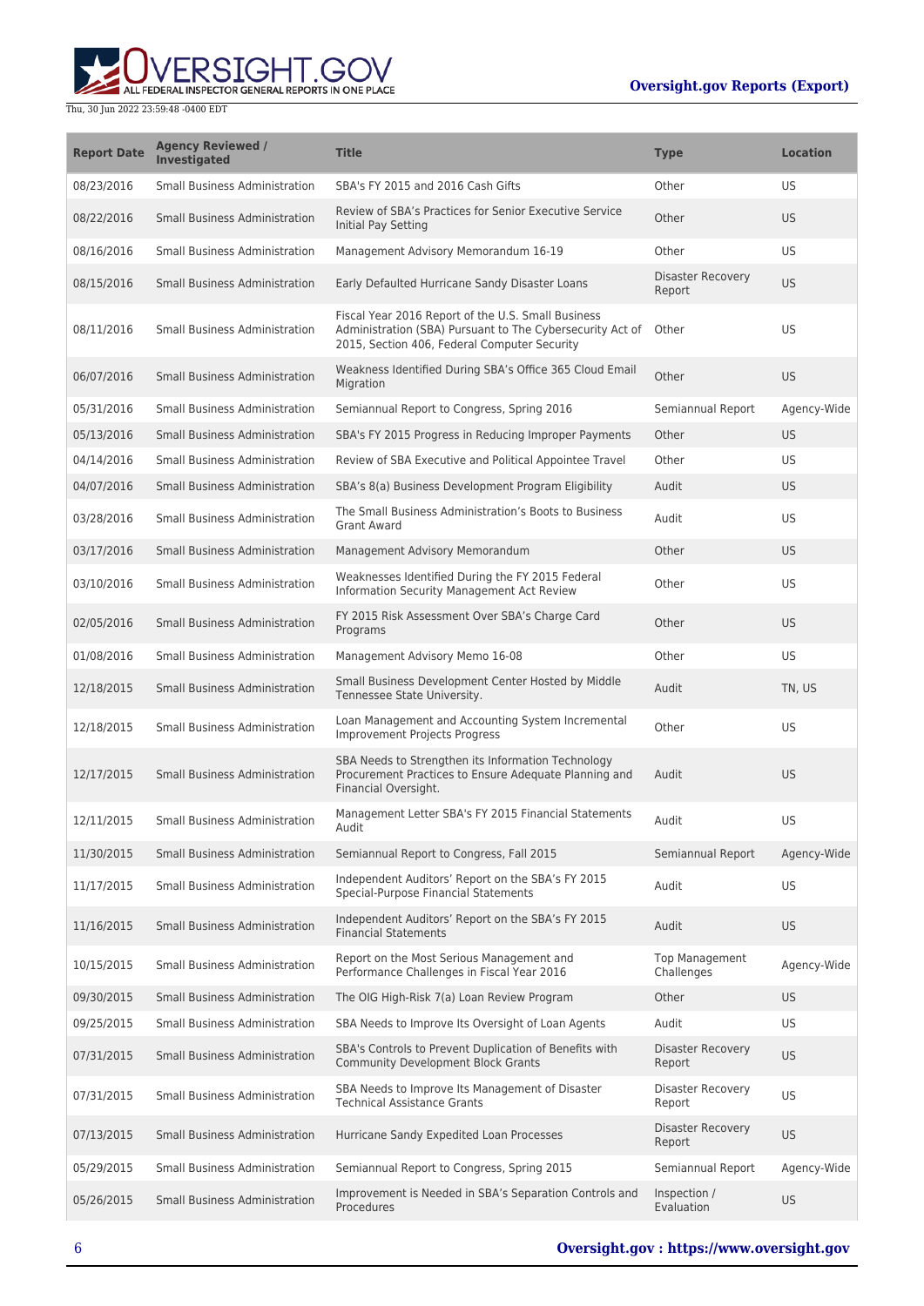

| <b>Report Date</b> | <b>Agency Reviewed /</b><br><b>Investigated</b> | <b>Title</b>                                                                                                                                                    | <b>Type</b>                         | <b>Location</b> |
|--------------------|-------------------------------------------------|-----------------------------------------------------------------------------------------------------------------------------------------------------------------|-------------------------------------|-----------------|
| 08/23/2016         | <b>Small Business Administration</b>            | SBA's FY 2015 and 2016 Cash Gifts                                                                                                                               | Other                               | US              |
| 08/22/2016         | Small Business Administration                   | Review of SBA's Practices for Senior Executive Service<br>Initial Pay Setting                                                                                   | Other                               | US.             |
| 08/16/2016         | Small Business Administration                   | Management Advisory Memorandum 16-19                                                                                                                            | Other                               | <b>US</b>       |
| 08/15/2016         | Small Business Administration                   | Early Defaulted Hurricane Sandy Disaster Loans                                                                                                                  | Disaster Recovery<br>Report         | US.             |
| 08/11/2016         | <b>Small Business Administration</b>            | Fiscal Year 2016 Report of the U.S. Small Business<br>Administration (SBA) Pursuant to The Cybersecurity Act of<br>2015, Section 406, Federal Computer Security | Other                               | US.             |
| 06/07/2016         | Small Business Administration                   | Weakness Identified During SBA's Office 365 Cloud Email<br>Migration                                                                                            | Other                               | US.             |
| 05/31/2016         | <b>Small Business Administration</b>            | Semiannual Report to Congress, Spring 2016                                                                                                                      | Semiannual Report                   | Agency-Wide     |
| 05/13/2016         | <b>Small Business Administration</b>            | SBA's FY 2015 Progress in Reducing Improper Payments                                                                                                            | Other                               | US.             |
| 04/14/2016         | Small Business Administration                   | Review of SBA Executive and Political Appointee Travel                                                                                                          | Other                               | US.             |
| 04/07/2016         | <b>Small Business Administration</b>            | SBA's 8(a) Business Development Program Eligibility                                                                                                             | Audit                               | US.             |
| 03/28/2016         | <b>Small Business Administration</b>            | The Small Business Administration's Boots to Business<br><b>Grant Award</b>                                                                                     | Audit                               | <b>US</b>       |
| 03/17/2016         | <b>Small Business Administration</b>            | Management Advisory Memorandum                                                                                                                                  | Other                               | US.             |
| 03/10/2016         | Small Business Administration                   | Weaknesses Identified During the FY 2015 Federal<br>Information Security Management Act Review                                                                  | Other                               | <b>US</b>       |
| 02/05/2016         | <b>Small Business Administration</b>            | FY 2015 Risk Assessment Over SBA's Charge Card<br>Programs                                                                                                      | Other                               | US.             |
| 01/08/2016         | Small Business Administration                   | Management Advisory Memo 16-08                                                                                                                                  | Other                               | <b>US</b>       |
| 12/18/2015         | Small Business Administration                   | Small Business Development Center Hosted by Middle<br>Tennessee State University.                                                                               | Audit                               | TN, US          |
| 12/18/2015         | Small Business Administration                   | Loan Management and Accounting System Incremental<br><b>Improvement Projects Progress</b>                                                                       | Other                               | US.             |
| 12/17/2015         | <b>Small Business Administration</b>            | SBA Needs to Strengthen its Information Technology<br>Procurement Practices to Ensure Adequate Planning and<br>Financial Oversight.                             | Audit                               | US.             |
| 12/11/2015         | <b>Small Business Administration</b>            | Management Letter SBA's FY 2015 Financial Statements<br>Audit                                                                                                   | Audit                               | US              |
| 11/30/2015         | <b>Small Business Administration</b>            | Semiannual Report to Congress, Fall 2015                                                                                                                        | Semiannual Report                   | Agency-Wide     |
| 11/17/2015         | Small Business Administration                   | Independent Auditors' Report on the SBA's FY 2015<br>Special-Purpose Financial Statements                                                                       | Audit                               | US              |
| 11/16/2015         | <b>Small Business Administration</b>            | Independent Auditors' Report on the SBA's FY 2015<br><b>Financial Statements</b>                                                                                | Audit                               | <b>US</b>       |
| 10/15/2015         | Small Business Administration                   | Report on the Most Serious Management and<br>Performance Challenges in Fiscal Year 2016                                                                         | <b>Top Management</b><br>Challenges | Agency-Wide     |
| 09/30/2015         | <b>Small Business Administration</b>            | The OIG High-Risk 7(a) Loan Review Program                                                                                                                      | Other                               | US.             |
| 09/25/2015         | Small Business Administration                   | SBA Needs to Improve Its Oversight of Loan Agents                                                                                                               | Audit                               | <b>US</b>       |
| 07/31/2015         | <b>Small Business Administration</b>            | SBA's Controls to Prevent Duplication of Benefits with<br><b>Community Development Block Grants</b>                                                             | <b>Disaster Recovery</b><br>Report  | <b>US</b>       |
| 07/31/2015         | Small Business Administration                   | SBA Needs to Improve Its Management of Disaster<br><b>Technical Assistance Grants</b>                                                                           | Disaster Recovery<br>Report         | <b>US</b>       |
| 07/13/2015         | <b>Small Business Administration</b>            | Hurricane Sandy Expedited Loan Processes                                                                                                                        | Disaster Recovery<br>Report         | <b>US</b>       |
| 05/29/2015         | <b>Small Business Administration</b>            | Semiannual Report to Congress, Spring 2015                                                                                                                      | Semiannual Report                   | Agency-Wide     |
| 05/26/2015         | <b>Small Business Administration</b>            | Improvement is Needed in SBA's Separation Controls and<br>Procedures                                                                                            | Inspection /<br>Evaluation          | <b>US</b>       |